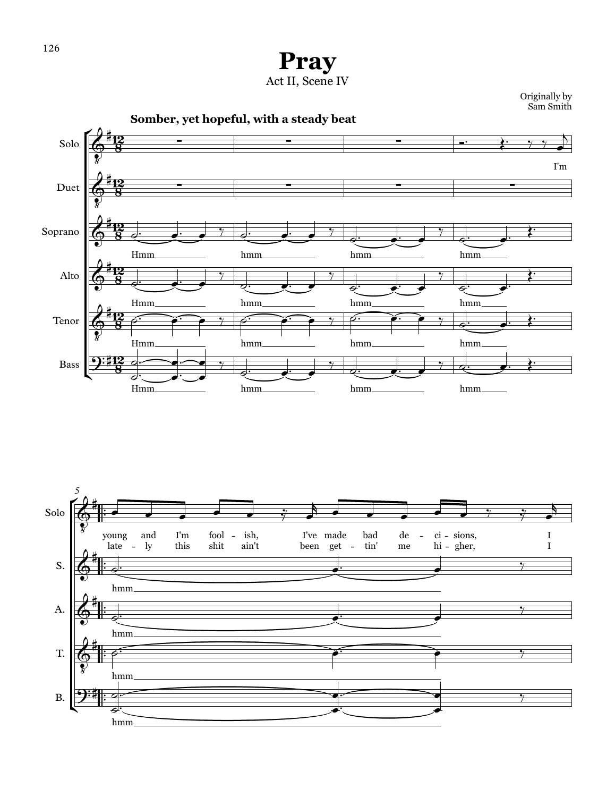**Pray**Act II, Scene IV

Originally by Sam Smith

 $\sqrt{4}$  $\frac{7.48}{8}$ Solo Duet Soprano Alto Tenor Bass I'm**Somber, yet hopeful, with a steady beat** Hmm hmm hmm hmm  $\frac{H_{\text{mm}}}{42}$  hmm hmm hmm Hmm hmm hmm hmm Hmmhmm hmm hmm hmm  $\frac{12}{5}$  $\frac{2}{8}$  $\frac{12}{5}$  $\frac{2}{8}$  $12$  $\frac{2}{8}$   $\frac{1}{2}$  $\frac{12}{5}$  $\frac{2}{8}$ .  $\overline{12}$  $\frac{2}{8}$   $\frac{2}{8}$  $\mathbf{R}$  and  $\mathbf{R}$  $\frac{2}{8}$  $\oint_{0}^{\pi} \frac{1}{8}$  $\bullet$  $\frac{4}{8}$   $\frac{12}{8}$   $\frac{2}{8}$   $\frac{2}{8}$   $\frac{2}{8}$   $\frac{2}{8}$   $\frac{2}{8}$   $\frac{2}{8}$   $\frac{2}{8}$   $\frac{2}{8}$   $\frac{2}{8}$   $\frac{2}{8}$   $\frac{2}{8}$   $\frac{2}{8}$   $\frac{2}{8}$   $\frac{2}{8}$   $\frac{2}{8}$   $\frac{2}{8}$   $\frac{2}{8}$   $\frac{2}{8}$   $\frac{2}{8}$   $\frac{2}{8}$   $\frac{12}{98}$  $\bullet$ # <sup>∑</sup> <sup>∑</sup> <sup>∑</sup> <sup>∑</sup>  $\begin{array}{c} \bullet$  3  $\circ$  $\frac{1}{4}$ 12  $\frac{1}{4}$  $\oint_{\mathcal{O}} \frac{d\mathbf{z}}{d\mathbf{z}}$  $\frac{1}{4}$  12  $\oint_0^{\pi} \frac{12}{8}$  $\frac{1}{8}$   $\frac{1}{1}$  $9:12$  and  $\vdash$   $\qquad$   $\qquad$   $\qquad$   $\qquad$   $\qquad$   $\qquad$   $\qquad$   $\qquad$   $\qquad$   $\qquad$   $\qquad$   $\qquad$   $\qquad$   $\qquad$   $\qquad$   $\qquad$   $\qquad$   $\qquad$   $\qquad$   $\qquad$   $\qquad$   $\qquad$   $\qquad$   $\qquad$   $\qquad$   $\qquad$   $\qquad$   $\qquad$   $\qquad$   $\qquad$   $\qquad$   $\qquad$   $\qquad$   $\qquad$   $\qquad$   $\qquad$  $\overline{y}$  $\frac{1}{\sqrt{2}}$  e  $\frac{1}{\sqrt{2}}$  $\frac{1}{\sqrt{2}}$  e e  $\frac{1}{\sqrt{2}}$  $\gamma$ e e 1 e  $\gamma$  $\overline{w}$   $\overline{w}$  $\phi$   $\rightarrow$   $\phi$   $\rightarrow$   $\phi$ .  $\frac{1}{2}$  $\phi$   $\ddot{\phi}$   $\ddot{\phi}$   $\ddot{\phi}$  $\frac{1}{2}$ e e e e  $\frac{1}{2}$  $\frac{1}{\alpha}$  e  $\frac{1}{\alpha}$  $\widehat{e}$   $\widehat{P}$   $\widehat{P}$   $\widehat{P}$   $\widehat{P}$   $\widehat{P}$   $\widehat{P}$   $\widehat{P}$   $\widehat{P}$   $\widehat{P}$   $\widehat{P}$   $\widehat{P}$   $\widehat{P}$   $\widehat{P}$   $\widehat{P}$   $\widehat{P}$   $\widehat{P}$   $\widehat{P}$   $\widehat{P}$   $\widehat{P}$   $\widehat{P}$   $\widehat{P}$   $\widehat{P}$   $\widehat{P}$   $\widehat{$ 。<br>。<br>。<br>。  $\overline{\phantom{a}}$ ™  $\bigodot$   $\bigodot$  $\overline{\cdots}$ ™  $\frac{1}{\sqrt{2}}$  $\bullet$   $\bullet$ e e 7 e  $\frac{1}{2}$   $\frac{1}{2}$   $\frac{1}{2}$   $\frac{1}{2}$  $W$  e  $\bullet$ 

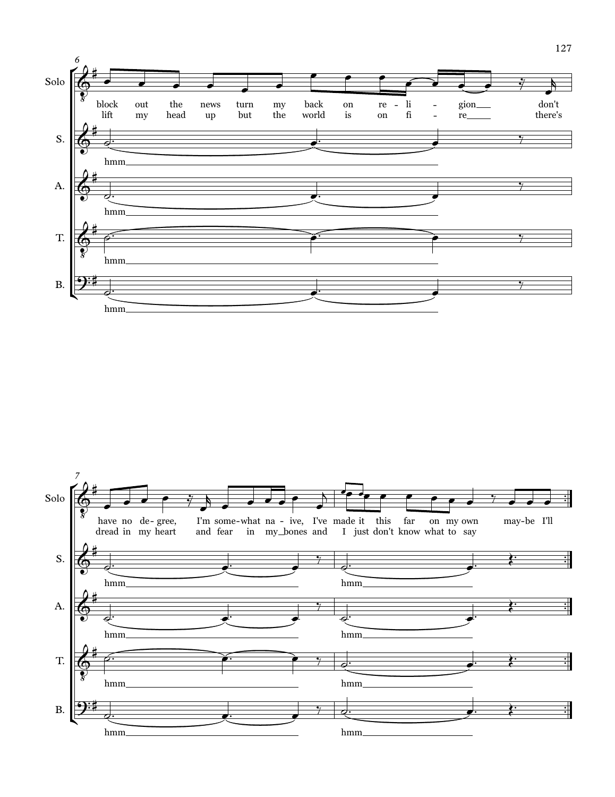

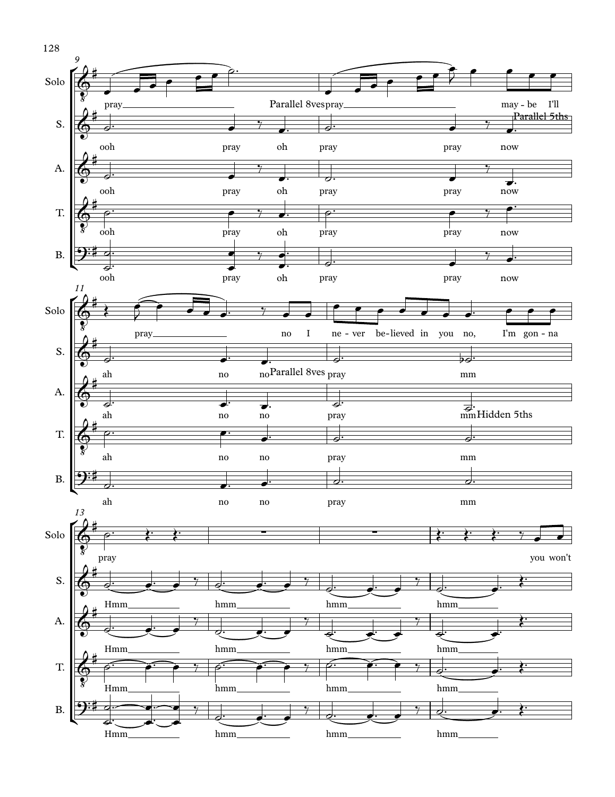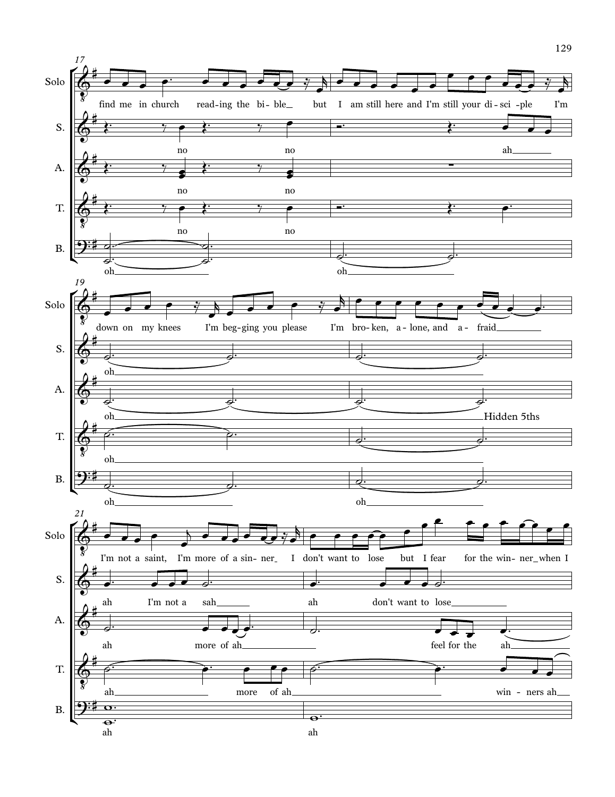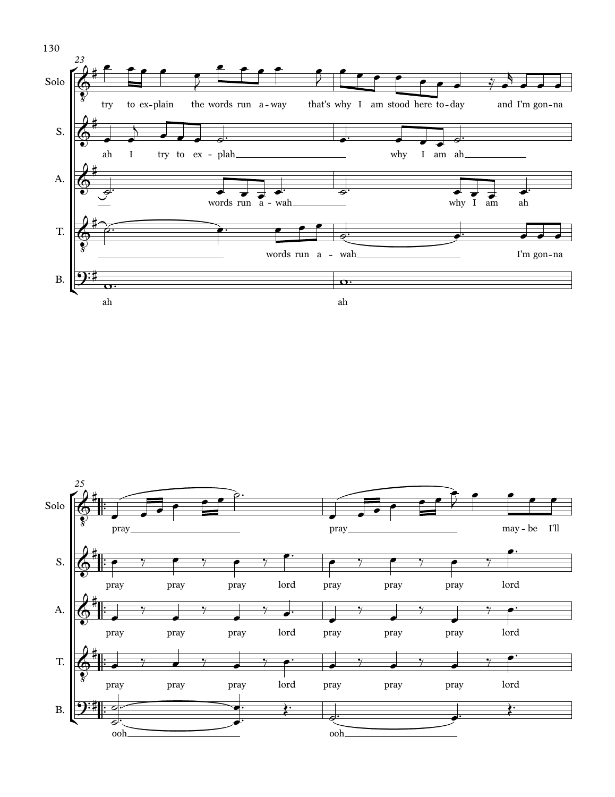

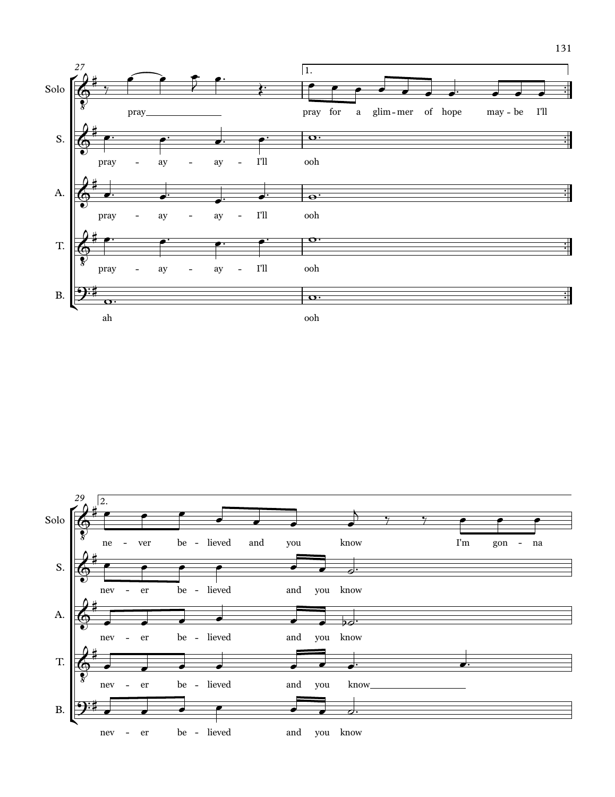



131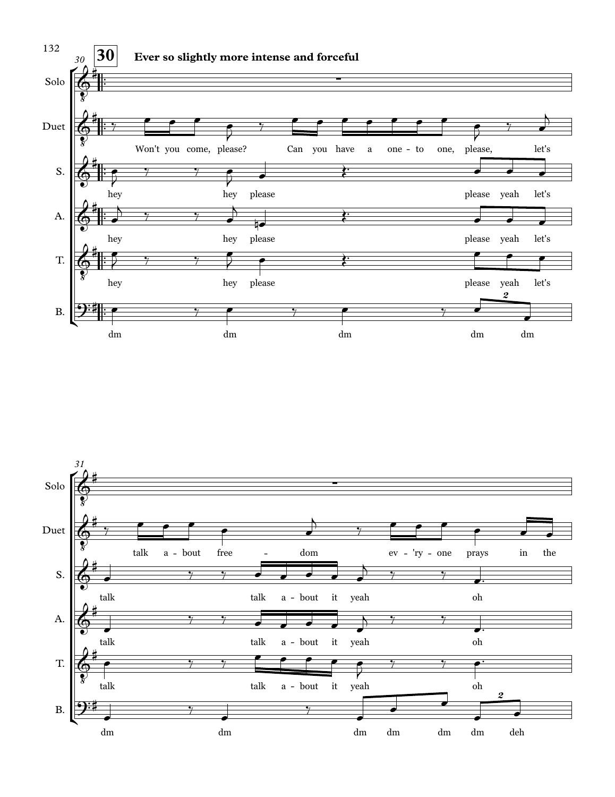

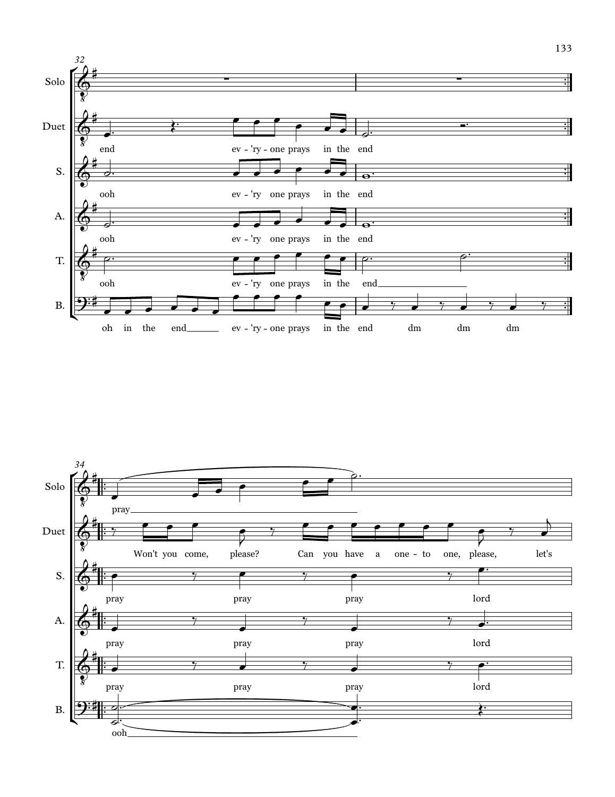

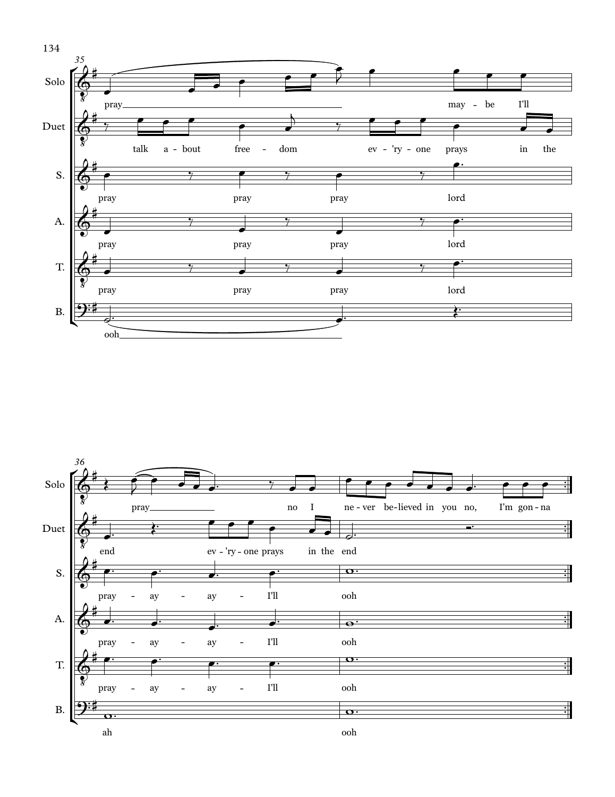